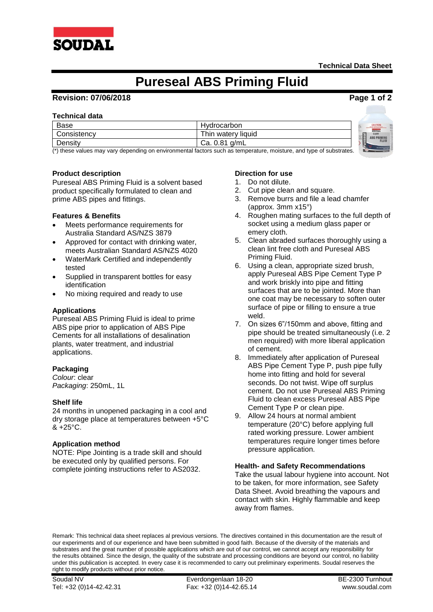

# **Pureseal ABS Priming Fluid**

## **Revision: 07/06/2018 Page 1 of 2**

#### **Technical data**

| Base        | Hydrocarbon         | <b>CAUTION</b>                         |
|-------------|---------------------|----------------------------------------|
| Consistencv | Thin watery liquid  | SOUDAL<br><b>ABS PRIMING</b><br>F.     |
| Density     | 0.81<br>Ca.<br>a/mL | <b>FLUII</b><br><b>Browning Street</b> |

(\*) these values may vary depending on environmental factors such as temperature, moisture, and type of substrates.

## **Product description**

Pureseal ABS Priming Fluid is a solvent based product specifically formulated to clean and prime ABS pipes and fittings.

#### **Features & Benefits**

- Meets performance requirements for Australia Standard AS/NZS 3879
- Approved for contact with drinking water, meets Australian Standard AS/NZS 4020
- WaterMark Certified and independently tested
- Supplied in transparent bottles for easy identification
- No mixing required and ready to use

#### **Applications**

Pureseal ABS Priming Fluid is ideal to prime ABS pipe prior to application of ABS Pipe Cements for all installations of desalination plants, water treatment, and industrial applications.

## **Packaging**

*Colour*: clear *Packaging*: 250mL, 1L

#### **Shelf life**

24 months in unopened packaging in a cool and dry storage place at temperatures between +5°C  $& 425^{\circ}$ C.

## **Application method**

NOTE: Pipe Jointing is a trade skill and should be executed only by qualified persons. For complete jointing instructions refer to AS2032.

#### **Direction for use**

- 1. Do not dilute.
- 2. Cut pipe clean and square.
- 3. Remove burrs and file a lead chamfer (approx. 3mm x15°)
- 4. Roughen mating surfaces to the full depth of socket using a medium glass paper or emery cloth.
- 5. Clean abraded surfaces thoroughly using a clean lint free cloth and Pureseal ABS Priming Fluid.
- 6. Using a clean, appropriate sized brush, apply Pureseal ABS Pipe Cement Type P and work briskly into pipe and fitting surfaces that are to be jointed. More than one coat may be necessary to soften outer surface of pipe or filling to ensure a true weld.
- 7. On sizes 6"/150mm and above, fitting and pipe should be treated simultaneously (i.e. 2 men required) with more liberal application of cement.
- 8. Immediately after application of Pureseal ABS Pipe Cement Type P, push pipe fully home into fitting and hold for several seconds. Do not twist. Wipe off surplus cement. Do not use Pureseal ABS Priming Fluid to clean excess Pureseal ABS Pipe Cement Type P or clean pipe.
- 9. Allow 24 hours at normal ambient temperature (20°C) before applying full rated working pressure. Lower ambient temperatures require longer times before pressure application.

#### **Health- and Safety Recommendations**

Take the usual labour hygiene into account. Not to be taken, for more information, see Safety Data Sheet. Avoid breathing the vapours and contact with skin. Highly flammable and keep away from flames.

Remark: This technical data sheet replaces al previous versions. The directives contained in this documentation are the result of our experiments and of our experience and have been submitted in good faith. Because of the diversity of the materials and substrates and the great number of possible applications which are out of our control, we cannot accept any responsibility for the results obtained. Since the design, the quality of the substrate and processing conditions are beyond our control, no liability under this publication is accepted. In every case it is recommended to carry out preliminary experiments. Soudal reserves the right to modify products without prior notice.

Soudal NV Everdongenlaan 18-20 BE-2300 Turnhout Tel: +32 (0)14-42.42.31 Fax: +32 (0)14-42.65.14 www.soudal.com